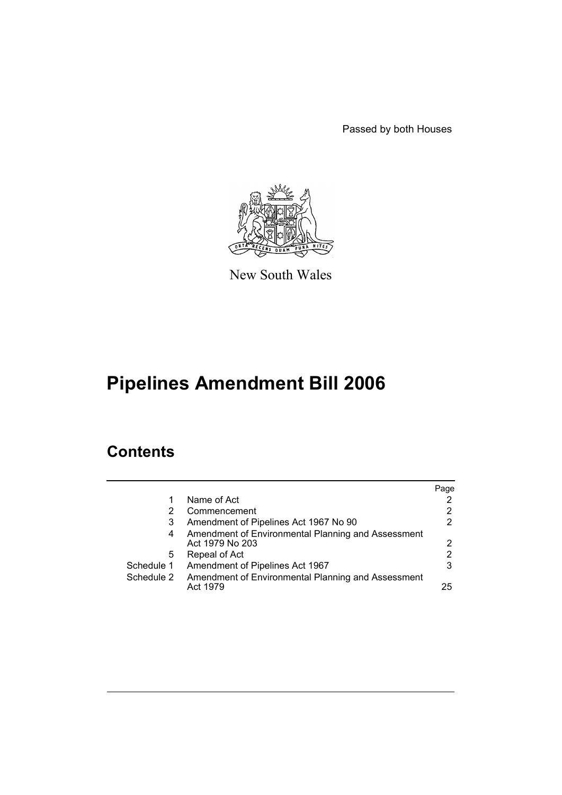Passed by both Houses



New South Wales

# **Pipelines Amendment Bill 2006**

# **Contents**

|            |                                                                       | Page           |
|------------|-----------------------------------------------------------------------|----------------|
| 1          | Name of Act                                                           |                |
|            | Commencement                                                          | $\overline{2}$ |
| 3          | Amendment of Pipelines Act 1967 No 90                                 | $\mathcal{P}$  |
| 4          | Amendment of Environmental Planning and Assessment<br>Act 1979 No 203 | 2              |
| 5          | Repeal of Act                                                         | 2              |
| Schedule 1 | Amendment of Pipelines Act 1967                                       | 3              |
| Schedule 2 | Amendment of Environmental Planning and Assessment<br>Act 1979        | 25             |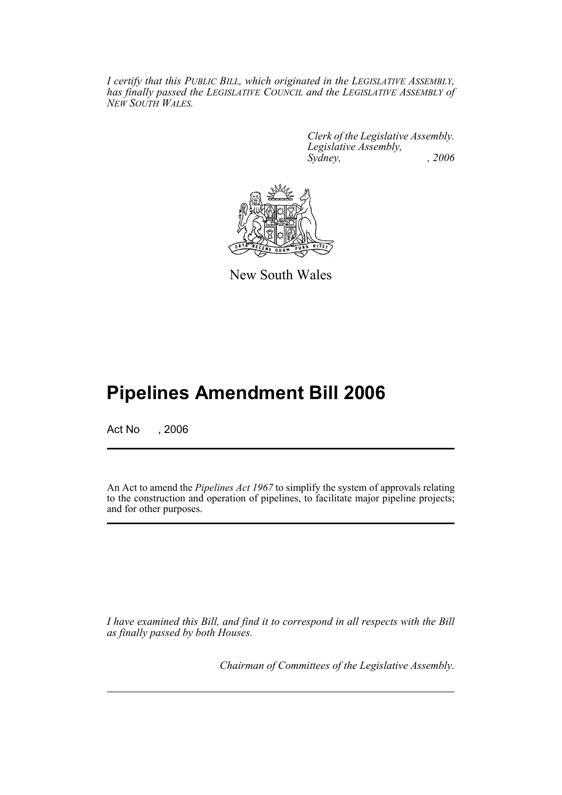*I certify that this PUBLIC BILL, which originated in the LEGISLATIVE ASSEMBLY, has finally passed the LEGISLATIVE COUNCIL and the LEGISLATIVE ASSEMBLY of NEW SOUTH WALES.*

> *Clerk of the Legislative Assembly. Legislative Assembly, Sydney, , 2006*



New South Wales

# **Pipelines Amendment Bill 2006**

Act No , 2006

An Act to amend the *Pipelines Act 1967* to simplify the system of approvals relating to the construction and operation of pipelines, to facilitate major pipeline projects; and for other purposes.

*I have examined this Bill, and find it to correspond in all respects with the Bill as finally passed by both Houses.*

*Chairman of Committees of the Legislative Assembly.*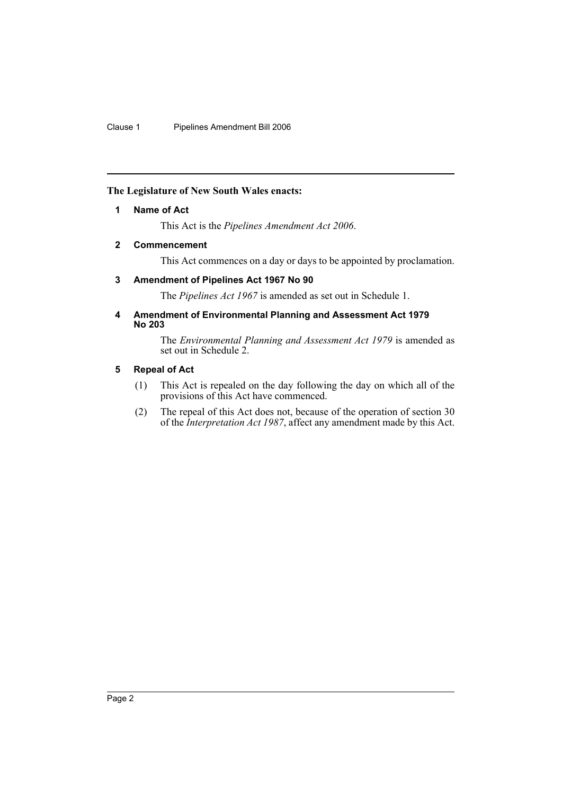# **The Legislature of New South Wales enacts:**

# **1 Name of Act**

This Act is the *Pipelines Amendment Act 2006*.

# **2 Commencement**

This Act commences on a day or days to be appointed by proclamation.

# **3 Amendment of Pipelines Act 1967 No 90**

The *Pipelines Act 1967* is amended as set out in Schedule 1.

# **4 Amendment of Environmental Planning and Assessment Act 1979 No 203**

The *Environmental Planning and Assessment Act 1979* is amended as set out in Schedule 2.

# **5 Repeal of Act**

- (1) This Act is repealed on the day following the day on which all of the provisions of this Act have commenced.
- (2) The repeal of this Act does not, because of the operation of section 30 of the *Interpretation Act 1987*, affect any amendment made by this Act.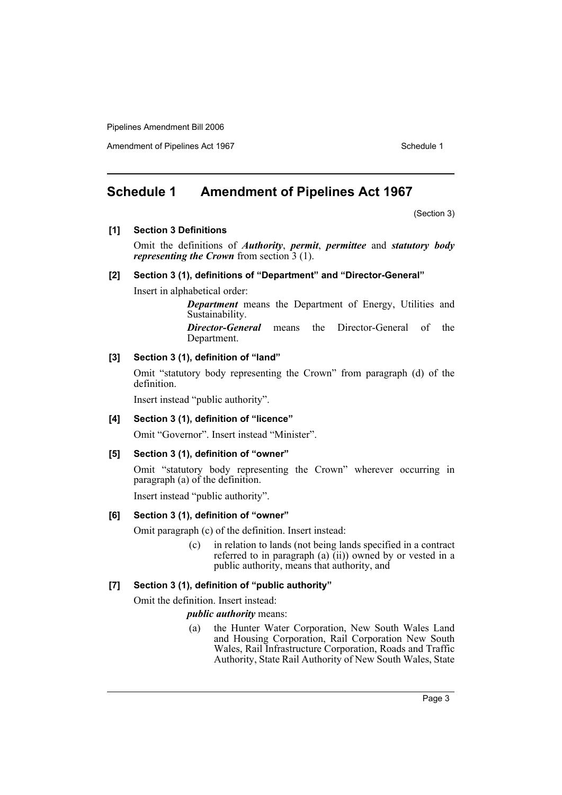Amendment of Pipelines Act 1967 Schedule 1

# **Schedule 1 Amendment of Pipelines Act 1967**

(Section 3)

**[1] Section 3 Definitions**

Omit the definitions of *Authority*, *permit*, *permittee* and *statutory body representing the Crown* from section 3 (1).

### **[2] Section 3 (1), definitions of "Department" and "Director-General"**

Insert in alphabetical order:

*Department* means the Department of Energy, Utilities and Sustainability.

*Director-General* means the Director-General of the Department.

## **[3] Section 3 (1), definition of "land"**

Omit "statutory body representing the Crown" from paragraph (d) of the definition.

Insert instead "public authority".

### **[4] Section 3 (1), definition of "licence"**

Omit "Governor". Insert instead "Minister".

### **[5] Section 3 (1), definition of "owner"**

Omit "statutory body representing the Crown" wherever occurring in paragraph (a) of the definition.

Insert instead "public authority".

# **[6] Section 3 (1), definition of "owner"**

Omit paragraph (c) of the definition. Insert instead:

(c) in relation to lands (not being lands specified in a contract referred to in paragraph (a)  $(ii)$ ) owned by or vested in a public authority, means that authority, and

# **[7] Section 3 (1), definition of "public authority"**

Omit the definition. Insert instead:

### *public authority* means:

(a) the Hunter Water Corporation, New South Wales Land and Housing Corporation, Rail Corporation New South Wales, Rail Infrastructure Corporation, Roads and Traffic Authority, State Rail Authority of New South Wales, State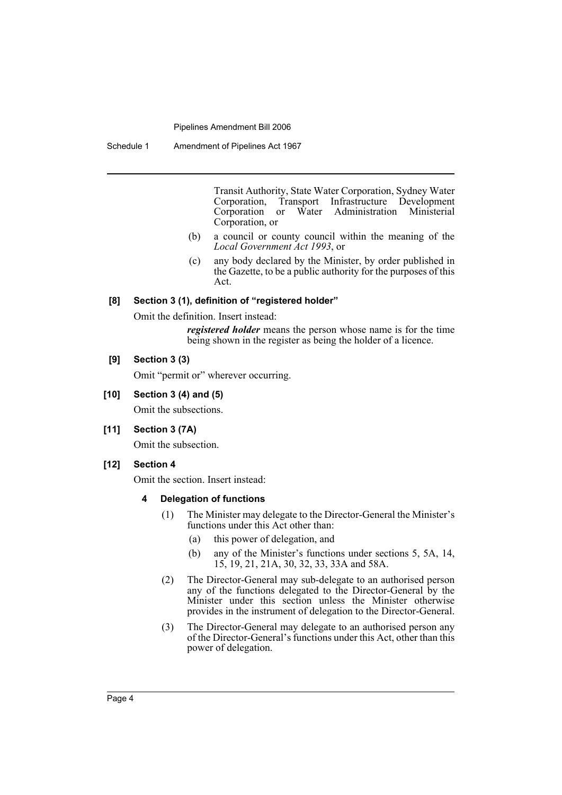Schedule 1 Amendment of Pipelines Act 1967

Transit Authority, State Water Corporation, Sydney Water Corporation, Transport Infrastructure Development Corporation or Water Administration Ministerial Corporation, or

- (b) a council or county council within the meaning of the *Local Government Act 1993*, or
- (c) any body declared by the Minister, by order published in the Gazette, to be a public authority for the purposes of this Act.

# **[8] Section 3 (1), definition of "registered holder"**

Omit the definition. Insert instead:

*registered holder* means the person whose name is for the time being shown in the register as being the holder of a licence.

# **[9] Section 3 (3)**

Omit "permit or" wherever occurring.

# **[10] Section 3 (4) and (5)**

Omit the subsections.

# **[11] Section 3 (7A)**

Omit the subsection.

# **[12] Section 4**

Omit the section. Insert instead:

### **4 Delegation of functions**

- (1) The Minister may delegate to the Director-General the Minister's functions under this Act other than:
	- (a) this power of delegation, and
	- (b) any of the Minister's functions under sections 5, 5A, 14, 15, 19, 21, 21A, 30, 32, 33, 33A and 58A.
- (2) The Director-General may sub-delegate to an authorised person any of the functions delegated to the Director-General by the Minister under this section unless the Minister otherwise provides in the instrument of delegation to the Director-General.
- (3) The Director-General may delegate to an authorised person any of the Director-General's functions under this Act, other than this power of delegation.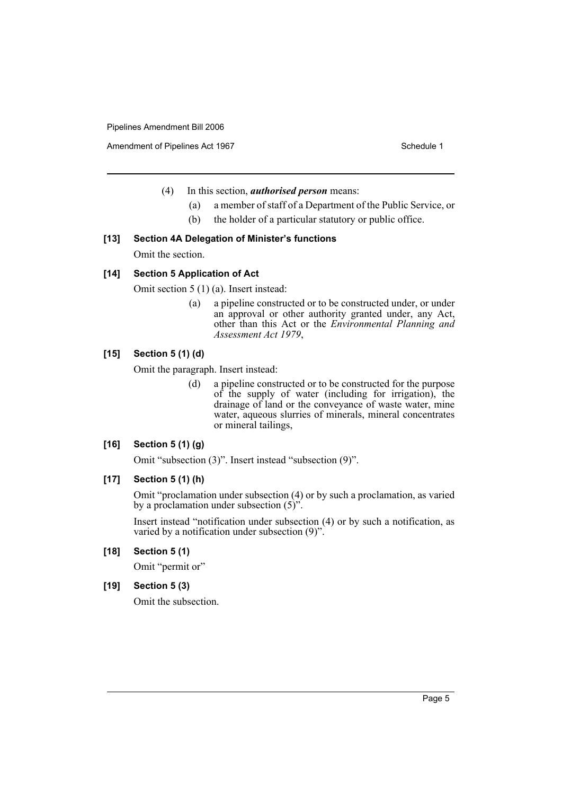Amendment of Pipelines Act 1967 Schedule 1

- (4) In this section, *authorised person* means:
	- (a) a member of staff of a Department of the Public Service, or
	- (b) the holder of a particular statutory or public office.

# **[13] Section 4A Delegation of Minister's functions**

Omit the section.

# **[14] Section 5 Application of Act**

Omit section 5 (1) (a). Insert instead:

(a) a pipeline constructed or to be constructed under, or under an approval or other authority granted under, any Act, other than this Act or the *Environmental Planning and Assessment Act 1979*,

# **[15] Section 5 (1) (d)**

Omit the paragraph. Insert instead:

(d) a pipeline constructed or to be constructed for the purpose of the supply of water (including for irrigation), the drainage of land or the conveyance of waste water, mine water, aqueous slurries of minerals, mineral concentrates or mineral tailings,

# **[16] Section 5 (1) (g)**

Omit "subsection (3)". Insert instead "subsection (9)".

# **[17] Section 5 (1) (h)**

Omit "proclamation under subsection (4) or by such a proclamation, as varied by a proclamation under subsection (5)".

Insert instead "notification under subsection (4) or by such a notification, as varied by a notification under subsection (9)".

# **[18] Section 5 (1)**

Omit "permit or"

### **[19] Section 5 (3)**

Omit the subsection.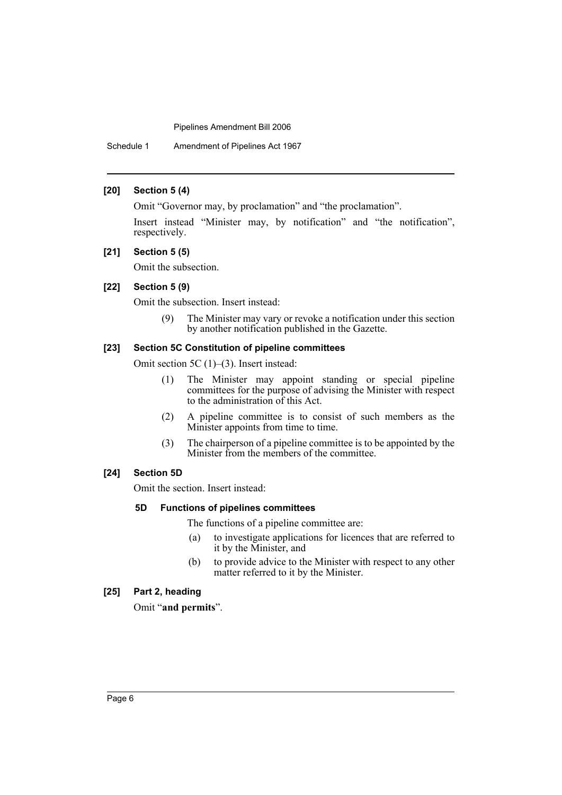# **[20] Section 5 (4)**

Omit "Governor may, by proclamation" and "the proclamation".

Insert instead "Minister may, by notification" and "the notification", respectively.

#### **[21] Section 5 (5)**

Omit the subsection.

# **[22] Section 5 (9)**

Omit the subsection. Insert instead:

(9) The Minister may vary or revoke a notification under this section by another notification published in the Gazette.

# **[23] Section 5C Constitution of pipeline committees**

Omit section 5C (1)–(3). Insert instead:

- (1) The Minister may appoint standing or special pipeline committees for the purpose of advising the Minister with respect to the administration of this Act.
- (2) A pipeline committee is to consist of such members as the Minister appoints from time to time.
- (3) The chairperson of a pipeline committee is to be appointed by the Minister from the members of the committee.

### **[24] Section 5D**

Omit the section. Insert instead:

#### **5D Functions of pipelines committees**

The functions of a pipeline committee are:

- (a) to investigate applications for licences that are referred to it by the Minister, and
- (b) to provide advice to the Minister with respect to any other matter referred to it by the Minister.

### **[25] Part 2, heading**

Omit "**and permits**".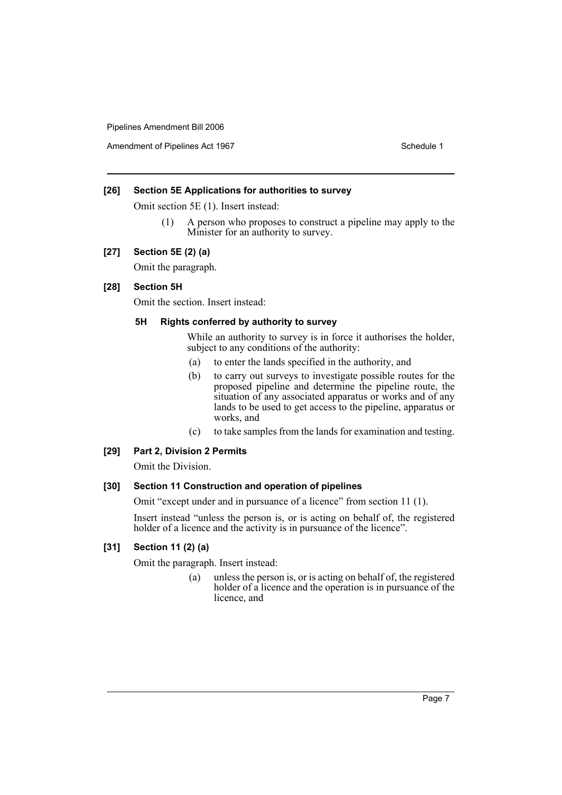Amendment of Pipelines Act 1967 Schedule 1

### **[26] Section 5E Applications for authorities to survey**

Omit section 5E (1). Insert instead:

(1) A person who proposes to construct a pipeline may apply to the Minister for an authority to survey.

### **[27] Section 5E (2) (a)**

Omit the paragraph.

# **[28] Section 5H**

Omit the section. Insert instead:

### **5H Rights conferred by authority to survey**

While an authority to survey is in force it authorises the holder, subject to any conditions of the authority:

- (a) to enter the lands specified in the authority, and
- (b) to carry out surveys to investigate possible routes for the proposed pipeline and determine the pipeline route, the situation of any associated apparatus or works and of any lands to be used to get access to the pipeline, apparatus or works, and
- (c) to take samples from the lands for examination and testing.

# **[29] Part 2, Division 2 Permits**

Omit the Division.

# **[30] Section 11 Construction and operation of pipelines**

Omit "except under and in pursuance of a licence" from section 11 (1).

Insert instead "unless the person is, or is acting on behalf of, the registered holder of a licence and the activity is in pursuance of the licence".

# **[31] Section 11 (2) (a)**

Omit the paragraph. Insert instead:

(a) unless the person is, or is acting on behalf of, the registered holder of a licence and the operation is in pursuance of the licence, and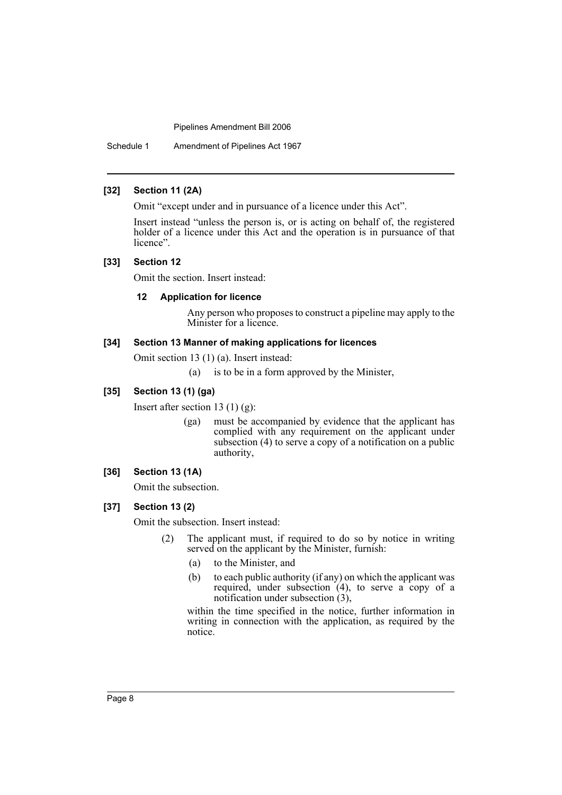Schedule 1 Amendment of Pipelines Act 1967

# **[32] Section 11 (2A)**

Omit "except under and in pursuance of a licence under this Act".

Insert instead "unless the person is, or is acting on behalf of, the registered holder of a licence under this Act and the operation is in pursuance of that licence".

### **[33] Section 12**

Omit the section. Insert instead:

### **12 Application for licence**

Any person who proposes to construct a pipeline may apply to the Minister for a licence.

### **[34] Section 13 Manner of making applications for licences**

Omit section 13 (1) (a). Insert instead:

(a) is to be in a form approved by the Minister,

# **[35] Section 13 (1) (ga)**

Insert after section 13 (1) (g):

(ga) must be accompanied by evidence that the applicant has complied with any requirement on the applicant under subsection (4) to serve a copy of a notification on a public authority,

# **[36] Section 13 (1A)**

Omit the subsection.

# **[37] Section 13 (2)**

Omit the subsection. Insert instead:

- (2) The applicant must, if required to do so by notice in writing served on the applicant by the Minister, furnish:
	- (a) to the Minister, and
	- (b) to each public authority (if any) on which the applicant was required, under subsection  $(4)$ , to serve a copy of a notification under subsection (3),

within the time specified in the notice, further information in writing in connection with the application, as required by the notice.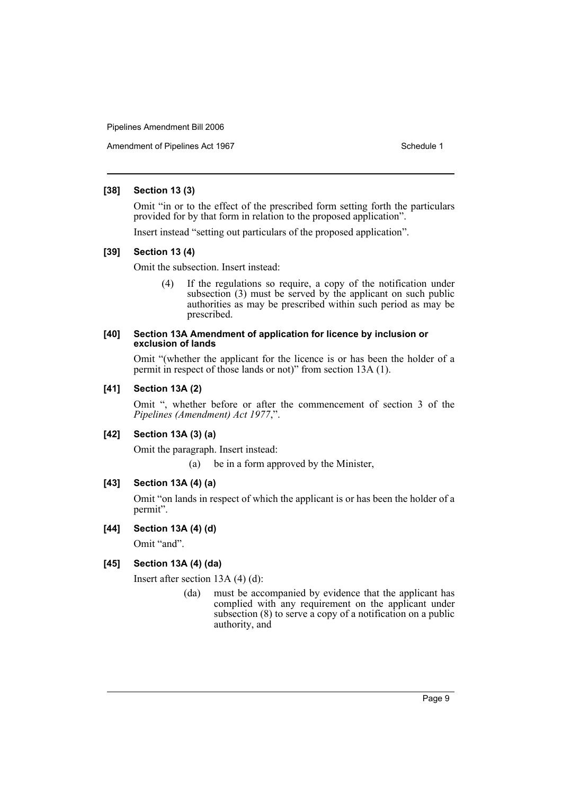Amendment of Pipelines Act 1967 Schedule 1

### **[38] Section 13 (3)**

Omit "in or to the effect of the prescribed form setting forth the particulars provided for by that form in relation to the proposed application".

Insert instead "setting out particulars of the proposed application".

# **[39] Section 13 (4)**

Omit the subsection. Insert instead:

(4) If the regulations so require, a copy of the notification under subsection (3) must be served by the applicant on such public authorities as may be prescribed within such period as may be prescribed.

### **[40] Section 13A Amendment of application for licence by inclusion or exclusion of lands**

Omit "(whether the applicant for the licence is or has been the holder of a permit in respect of those lands or not)" from section 13A (1).

# **[41] Section 13A (2)**

Omit ", whether before or after the commencement of section 3 of the *Pipelines (Amendment) Act 1977*,".

# **[42] Section 13A (3) (a)**

Omit the paragraph. Insert instead:

(a) be in a form approved by the Minister,

# **[43] Section 13A (4) (a)**

Omit "on lands in respect of which the applicant is or has been the holder of a permit".

# **[44] Section 13A (4) (d)**

Omit "and".

# **[45] Section 13A (4) (da)**

Insert after section 13A (4) (d):

(da) must be accompanied by evidence that the applicant has complied with any requirement on the applicant under subsection (8) to serve a copy of a notification on a public authority, and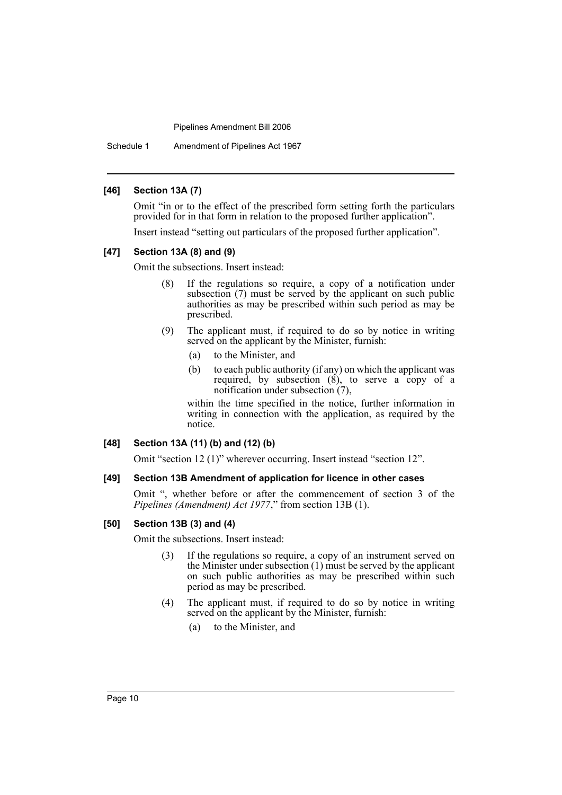Schedule 1 Amendment of Pipelines Act 1967

### **[46] Section 13A (7)**

Omit "in or to the effect of the prescribed form setting forth the particulars provided for in that form in relation to the proposed further application".

Insert instead "setting out particulars of the proposed further application".

#### **[47] Section 13A (8) and (9)**

Omit the subsections. Insert instead:

- (8) If the regulations so require, a copy of a notification under subsection (7) must be served by the applicant on such public authorities as may be prescribed within such period as may be prescribed.
- (9) The applicant must, if required to do so by notice in writing served on the applicant by the Minister, furnish:
	- (a) to the Minister, and
	- (b) to each public authority (if any) on which the applicant was required, by subsection  $(\vec{8})$ , to serve a copy of a notification under subsection (7),

within the time specified in the notice, further information in writing in connection with the application, as required by the notice.

# **[48] Section 13A (11) (b) and (12) (b)**

Omit "section 12 (1)" wherever occurring. Insert instead "section 12".

#### **[49] Section 13B Amendment of application for licence in other cases**

Omit ", whether before or after the commencement of section 3 of the *Pipelines (Amendment) Act 1977*," from section 13B (1).

# **[50] Section 13B (3) and (4)**

Omit the subsections. Insert instead:

- (3) If the regulations so require, a copy of an instrument served on the Minister under subsection (1) must be served by the applicant on such public authorities as may be prescribed within such period as may be prescribed.
- (4) The applicant must, if required to do so by notice in writing served on the applicant by the Minister, furnish:
	- (a) to the Minister, and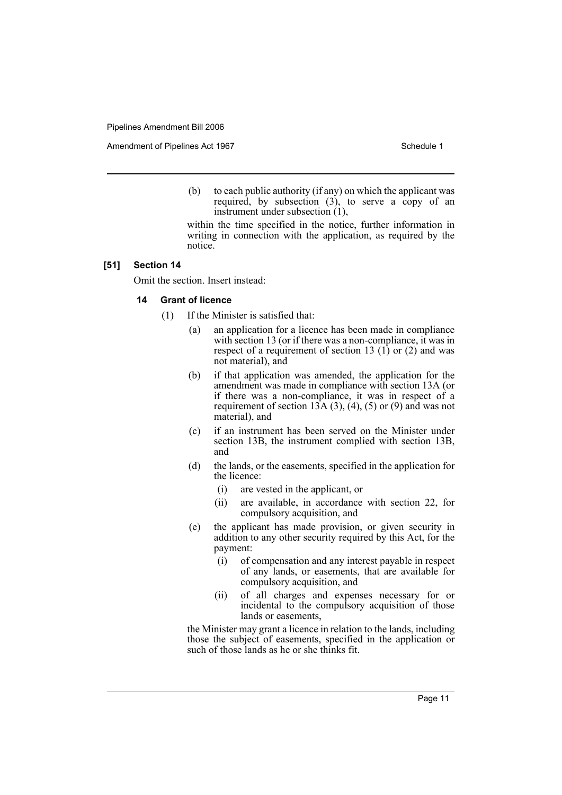Amendment of Pipelines Act 1967 Schedule 1

(b) to each public authority (if any) on which the applicant was required, by subsection  $(3)$ , to serve a copy of an instrument under subsection (1),

within the time specified in the notice, further information in writing in connection with the application, as required by the notice.

### **[51] Section 14**

Omit the section. Insert instead:

# **14 Grant of licence**

- (1) If the Minister is satisfied that:
	- (a) an application for a licence has been made in compliance with section 13 (or if there was a non-compliance, it was in respect of a requirement of section 13  $(1)$  or  $(2)$  and was not material), and
	- (b) if that application was amended, the application for the amendment was made in compliance with section 13A (or if there was a non-compliance, it was in respect of a requirement of section 13A  $(3)$ ,  $(4)$ ,  $(5)$  or  $(9)$  and was not material), and
	- (c) if an instrument has been served on the Minister under section 13B, the instrument complied with section 13B, and
	- (d) the lands, or the easements, specified in the application for the licence:
		- (i) are vested in the applicant, or
		- (ii) are available, in accordance with section 22, for compulsory acquisition, and
	- (e) the applicant has made provision, or given security in addition to any other security required by this Act, for the payment:
		- (i) of compensation and any interest payable in respect of any lands, or easements, that are available for compulsory acquisition, and
		- (ii) of all charges and expenses necessary for or incidental to the compulsory acquisition of those lands or easements,

the Minister may grant a licence in relation to the lands, including those the subject of easements, specified in the application or such of those lands as he or she thinks fit.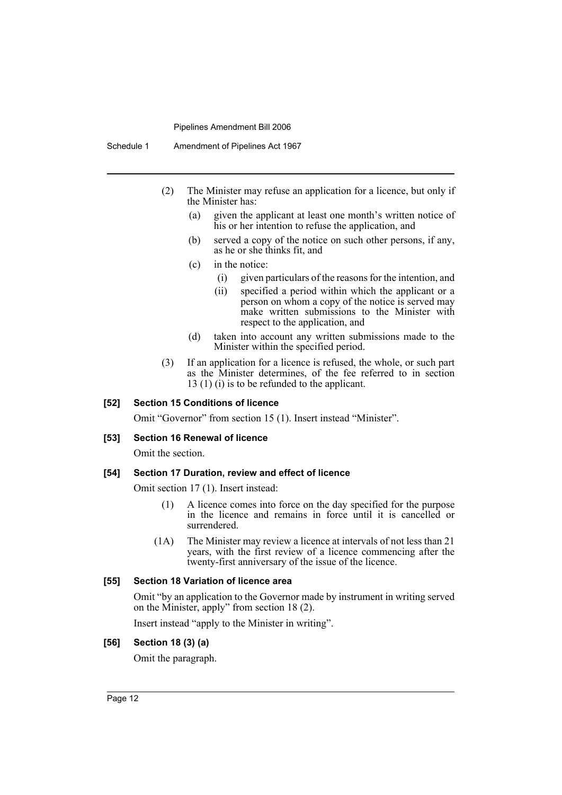Schedule 1 Amendment of Pipelines Act 1967

- (2) The Minister may refuse an application for a licence, but only if the Minister has:
	- (a) given the applicant at least one month's written notice of his or her intention to refuse the application, and
	- (b) served a copy of the notice on such other persons, if any, as he or she thinks fit, and
	- (c) in the notice:
		- (i) given particulars of the reasons for the intention, and
		- (ii) specified a period within which the applicant or a person on whom a copy of the notice is served may make written submissions to the Minister with respect to the application, and
	- (d) taken into account any written submissions made to the Minister within the specified period.
- (3) If an application for a licence is refused, the whole, or such part as the Minister determines, of the fee referred to in section 13 (1) (i) is to be refunded to the applicant.

### **[52] Section 15 Conditions of licence**

Omit "Governor" from section 15 (1). Insert instead "Minister".

### **[53] Section 16 Renewal of licence**

Omit the section.

# **[54] Section 17 Duration, review and effect of licence**

Omit section 17 (1). Insert instead:

- (1) A licence comes into force on the day specified for the purpose in the licence and remains in force until it is cancelled or surrendered.
- (1A) The Minister may review a licence at intervals of not less than 21 years, with the first review of a licence commencing after the twenty-first anniversary of the issue of the licence.

### **[55] Section 18 Variation of licence area**

Omit "by an application to the Governor made by instrument in writing served on the Minister, apply" from section 18 (2).

Insert instead "apply to the Minister in writing".

#### **[56] Section 18 (3) (a)**

Omit the paragraph.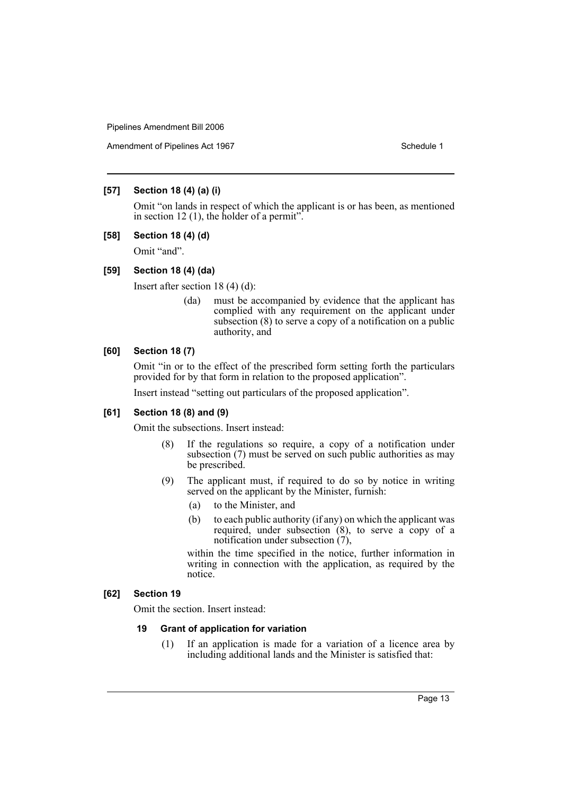Amendment of Pipelines Act 1967 Schedule 1

# **[57] Section 18 (4) (a) (i)**

Omit "on lands in respect of which the applicant is or has been, as mentioned in section 12  $(1)$ , the holder of a permit".

# **[58] Section 18 (4) (d)**

Omit "and".

#### **[59] Section 18 (4) (da)**

Insert after section 18 (4) (d):

(da) must be accompanied by evidence that the applicant has complied with any requirement on the applicant under subsection (8) to serve a copy of a notification on a public authority, and

# **[60] Section 18 (7)**

Omit "in or to the effect of the prescribed form setting forth the particulars provided for by that form in relation to the proposed application".

Insert instead "setting out particulars of the proposed application".

### **[61] Section 18 (8) and (9)**

Omit the subsections. Insert instead:

- (8) If the regulations so require, a copy of a notification under subsection (7) must be served on such public authorities as may be prescribed.
- (9) The applicant must, if required to do so by notice in writing served on the applicant by the Minister, furnish:
	- (a) to the Minister, and
	- (b) to each public authority (if any) on which the applicant was required, under subsection (8), to serve a copy of a notification under subsection (7),

within the time specified in the notice, further information in writing in connection with the application, as required by the notice.

### **[62] Section 19**

Omit the section. Insert instead:

#### **19 Grant of application for variation**

(1) If an application is made for a variation of a licence area by including additional lands and the Minister is satisfied that: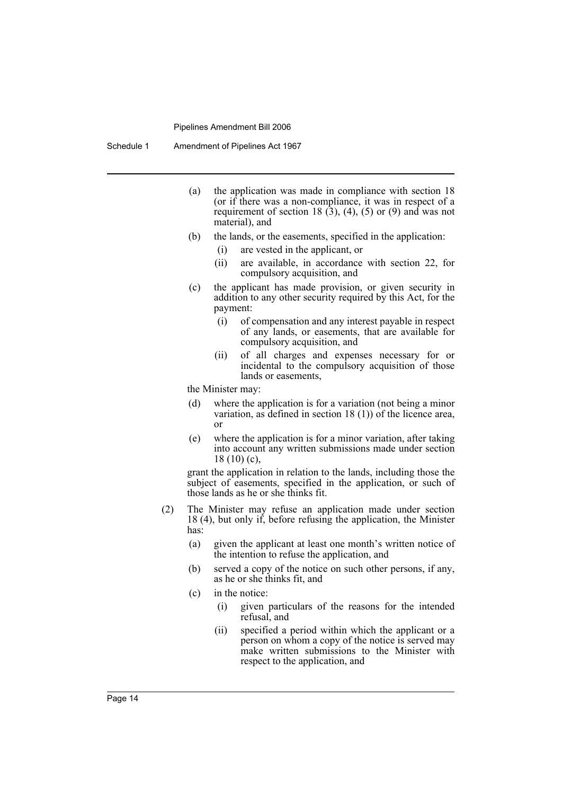- (a) the application was made in compliance with section 18 (or if there was a non-compliance, it was in respect of a requirement of section 18  $(3)$ ,  $(4)$ ,  $(5)$  or  $(9)$  and was not material), and
- (b) the lands, or the easements, specified in the application:
	- (i) are vested in the applicant, or
	- (ii) are available, in accordance with section 22, for compulsory acquisition, and
- (c) the applicant has made provision, or given security in addition to any other security required by this Act, for the payment:
	- (i) of compensation and any interest payable in respect of any lands, or easements, that are available for compulsory acquisition, and
	- (ii) of all charges and expenses necessary for or incidental to the compulsory acquisition of those lands or easements,

the Minister may:

- (d) where the application is for a variation (not being a minor variation, as defined in section 18 (1)) of the licence area, or
- (e) where the application is for a minor variation, after taking into account any written submissions made under section 18 (10) (c),

grant the application in relation to the lands, including those the subject of easements, specified in the application, or such of those lands as he or she thinks fit.

- (2) The Minister may refuse an application made under section 18 (4), but only if, before refusing the application, the Minister has:
	- (a) given the applicant at least one month's written notice of the intention to refuse the application, and
	- (b) served a copy of the notice on such other persons, if any, as he or she thinks fit, and
	- (c) in the notice:
		- (i) given particulars of the reasons for the intended refusal, and
		- (ii) specified a period within which the applicant or a person on whom a copy of the notice is served may make written submissions to the Minister with respect to the application, and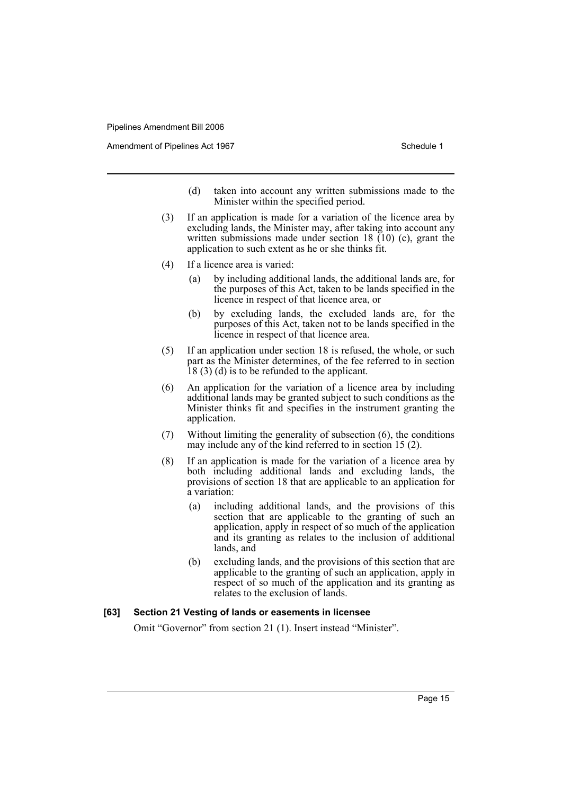Amendment of Pipelines Act 1967 Schedule 1

- (d) taken into account any written submissions made to the Minister within the specified period.
- (3) If an application is made for a variation of the licence area by excluding lands, the Minister may, after taking into account any written submissions made under section 18  $(10)$  (c), grant the application to such extent as he or she thinks fit.
- (4) If a licence area is varied:
	- (a) by including additional lands, the additional lands are, for the purposes of this Act, taken to be lands specified in the licence in respect of that licence area, or
	- (b) by excluding lands, the excluded lands are, for the purposes of this Act, taken not to be lands specified in the licence in respect of that licence area.
- (5) If an application under section 18 is refused, the whole, or such part as the Minister determines, of the fee referred to in section 18 (3) (d) is to be refunded to the applicant.
- (6) An application for the variation of a licence area by including additional lands may be granted subject to such conditions as the Minister thinks fit and specifies in the instrument granting the application.
- (7) Without limiting the generality of subsection (6), the conditions may include any of the kind referred to in section 15 (2).
- (8) If an application is made for the variation of a licence area by both including additional lands and excluding lands, the provisions of section 18 that are applicable to an application for a variation:
	- (a) including additional lands, and the provisions of this section that are applicable to the granting of such an application, apply in respect of so much of the application and its granting as relates to the inclusion of additional lands, and
	- (b) excluding lands, and the provisions of this section that are applicable to the granting of such an application, apply in respect of so much of the application and its granting as relates to the exclusion of lands.

### **[63] Section 21 Vesting of lands or easements in licensee**

Omit "Governor" from section 21 (1). Insert instead "Minister".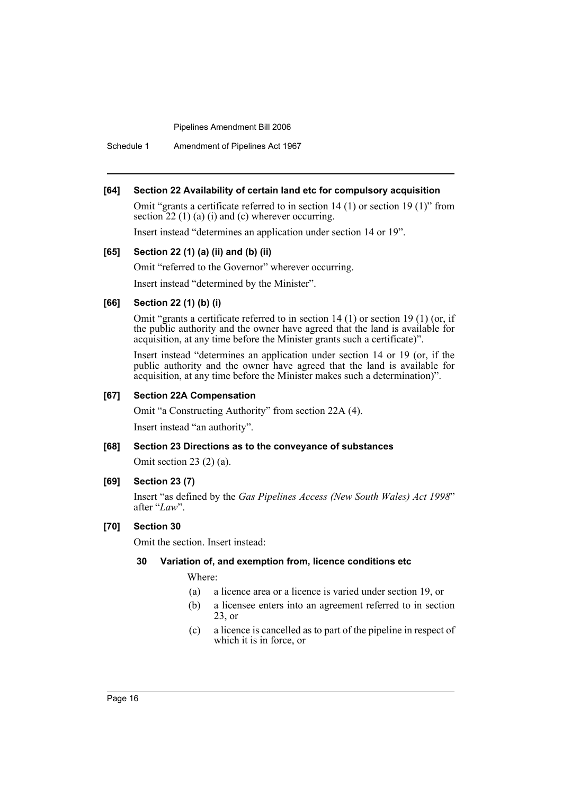Schedule 1 Amendment of Pipelines Act 1967

#### **[64] Section 22 Availability of certain land etc for compulsory acquisition**

Omit "grants a certificate referred to in section 14 (1) or section 19 (1)" from section 22 (1) (a) (i) and (c) wherever occurring.

Insert instead "determines an application under section 14 or 19".

#### **[65] Section 22 (1) (a) (ii) and (b) (ii)**

Omit "referred to the Governor" wherever occurring.

Insert instead "determined by the Minister".

# **[66] Section 22 (1) (b) (i)**

Omit "grants a certificate referred to in section 14 (1) or section 19 (1) (or, if the public authority and the owner have agreed that the land is available for acquisition, at any time before the Minister grants such a certificate)".

Insert instead "determines an application under section 14 or 19 (or, if the public authority and the owner have agreed that the land is available for acquisition, at any time before the Minister makes such a determination)".

#### **[67] Section 22A Compensation**

Omit "a Constructing Authority" from section 22A (4).

Insert instead "an authority".

### **[68] Section 23 Directions as to the conveyance of substances**

Omit section 23 (2) (a).

### **[69] Section 23 (7)**

Insert "as defined by the *Gas Pipelines Access (New South Wales) Act 1998*" after "*Law*".

## **[70] Section 30**

Omit the section. Insert instead:

### **30 Variation of, and exemption from, licence conditions etc**

Where:

- (a) a licence area or a licence is varied under section 19, or
- (b) a licensee enters into an agreement referred to in section 23, or
- (c) a licence is cancelled as to part of the pipeline in respect of which it is in force, or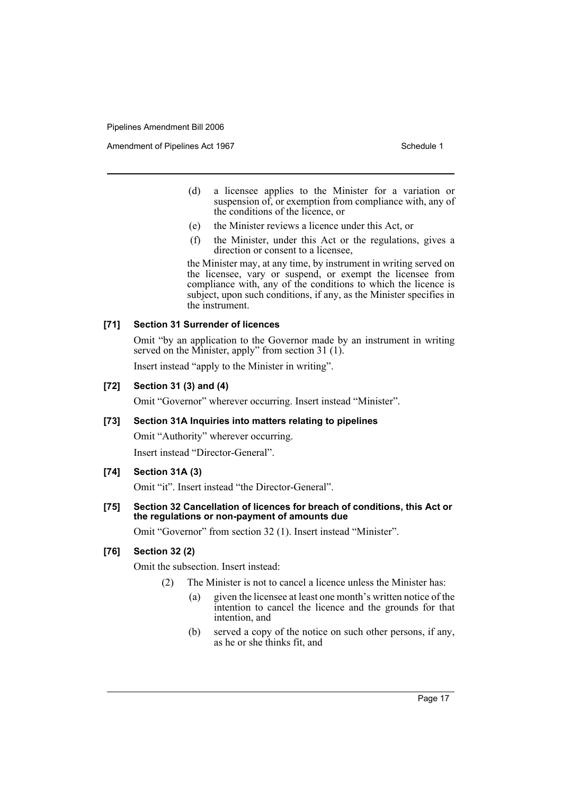Amendment of Pipelines Act 1967 Schedule 1

- (d) a licensee applies to the Minister for a variation or suspension of, or exemption from compliance with, any of the conditions of the licence, or
- (e) the Minister reviews a licence under this Act, or
- (f) the Minister, under this Act or the regulations, gives a direction or consent to a licensee,

the Minister may, at any time, by instrument in writing served on the licensee, vary or suspend, or exempt the licensee from compliance with, any of the conditions to which the licence is subject, upon such conditions, if any, as the Minister specifies in the instrument.

### **[71] Section 31 Surrender of licences**

Omit "by an application to the Governor made by an instrument in writing served on the Minister, apply" from section 31 (1).

Insert instead "apply to the Minister in writing".

# **[72] Section 31 (3) and (4)**

Omit "Governor" wherever occurring. Insert instead "Minister".

### **[73] Section 31A Inquiries into matters relating to pipelines**

Omit "Authority" wherever occurring.

Insert instead "Director-General".

# **[74] Section 31A (3)**

Omit "it". Insert instead "the Director-General".

# **[75] Section 32 Cancellation of licences for breach of conditions, this Act or the regulations or non-payment of amounts due**

Omit "Governor" from section 32 (1). Insert instead "Minister".

# **[76] Section 32 (2)**

Omit the subsection. Insert instead:

- (2) The Minister is not to cancel a licence unless the Minister has:
	- (a) given the licensee at least one month's written notice of the intention to cancel the licence and the grounds for that intention and
	- (b) served a copy of the notice on such other persons, if any, as he or she thinks fit, and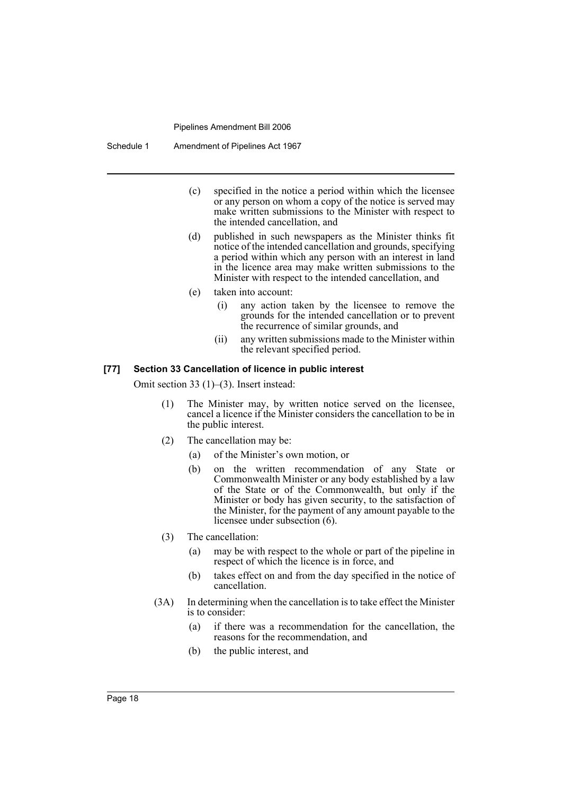Schedule 1 Amendment of Pipelines Act 1967

- (c) specified in the notice a period within which the licensee or any person on whom a copy of the notice is served may make written submissions to the Minister with respect to the intended cancellation, and
- (d) published in such newspapers as the Minister thinks fit notice of the intended cancellation and grounds, specifying a period within which any person with an interest in land in the licence area may make written submissions to the Minister with respect to the intended cancellation, and
- (e) taken into account:
	- (i) any action taken by the licensee to remove the grounds for the intended cancellation or to prevent the recurrence of similar grounds, and
	- (ii) any written submissions made to the Minister within the relevant specified period.

### **[77] Section 33 Cancellation of licence in public interest**

Omit section 33 (1)–(3). Insert instead:

- (1) The Minister may, by written notice served on the licensee, cancel a licence if the Minister considers the cancellation to be in the public interest.
- (2) The cancellation may be:
	- (a) of the Minister's own motion, or
	- (b) on the written recommendation of any State or Commonwealth Minister or any body established by a law of the State or of the Commonwealth, but only if the Minister or body has given security, to the satisfaction of the Minister, for the payment of any amount payable to the licensee under subsection (6).
- (3) The cancellation:
	- (a) may be with respect to the whole or part of the pipeline in respect of which the licence is in force, and
	- (b) takes effect on and from the day specified in the notice of cancellation.
- (3A) In determining when the cancellation is to take effect the Minister is to consider:
	- (a) if there was a recommendation for the cancellation, the reasons for the recommendation, and
	- (b) the public interest, and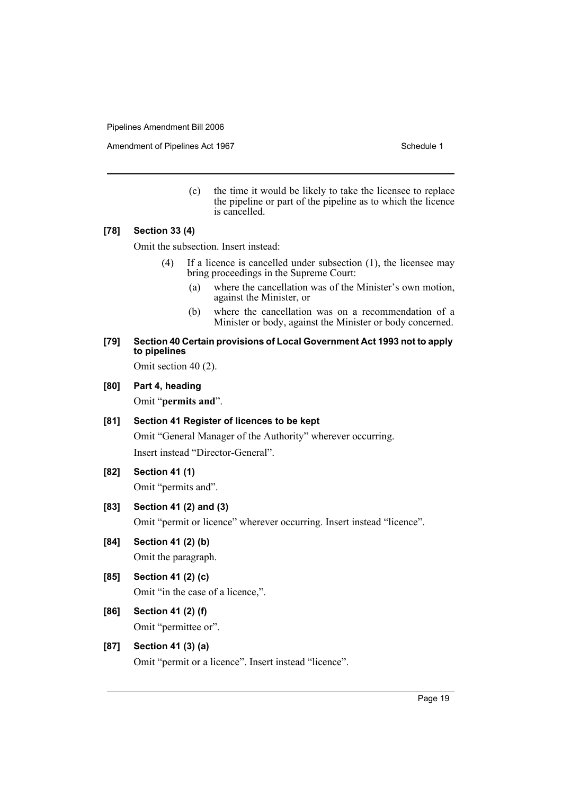Amendment of Pipelines Act 1967 Schedule 1

(c) the time it would be likely to take the licensee to replace the pipeline or part of the pipeline as to which the licence is cancelled.

### **[78] Section 33 (4)**

Omit the subsection. Insert instead:

- (4) If a licence is cancelled under subsection (1), the licensee may bring proceedings in the Supreme Court:
	- (a) where the cancellation was of the Minister's own motion, against the Minister, or
	- (b) where the cancellation was on a recommendation of a Minister or body, against the Minister or body concerned.

### **[79] Section 40 Certain provisions of Local Government Act 1993 not to apply to pipelines**

Omit section 40 (2).

#### **[80] Part 4, heading**

Omit "**permits and**".

# **[81] Section 41 Register of licences to be kept**

Omit "General Manager of the Authority" wherever occurring. Insert instead "Director-General".

# **[82] Section 41 (1)**

Omit "permits and".

# **[83] Section 41 (2) and (3)**

Omit "permit or licence" wherever occurring. Insert instead "licence".

# **[84] Section 41 (2) (b)**

Omit the paragraph.

# **[85] Section 41 (2) (c)**

Omit "in the case of a licence,".

# **[86] Section 41 (2) (f)**

Omit "permittee or".

# **[87] Section 41 (3) (a)**

Omit "permit or a licence". Insert instead "licence".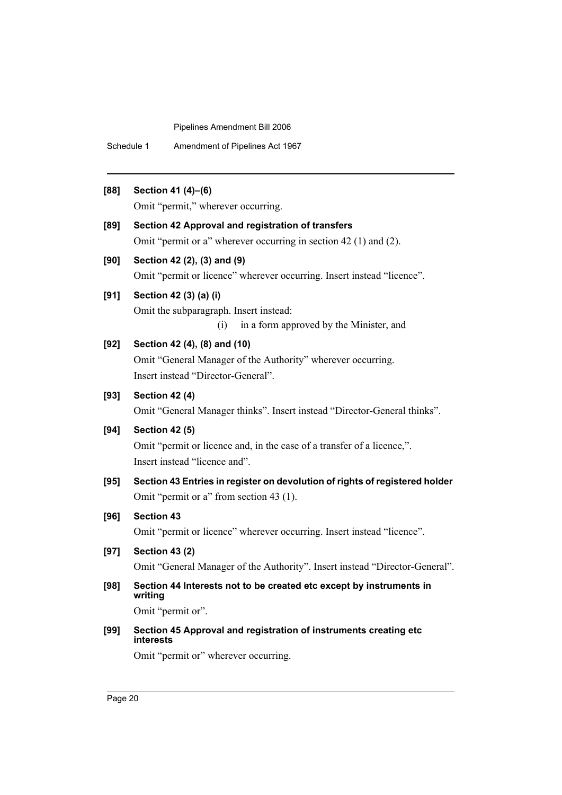Schedule 1 Amendment of Pipelines Act 1967

# **[88] Section 41 (4)–(6)**

Omit "permit," wherever occurring.

### **[89] Section 42 Approval and registration of transfers**

Omit "permit or a" wherever occurring in section 42 (1) and (2).

### **[90] Section 42 (2), (3) and (9)**

Omit "permit or licence" wherever occurring. Insert instead "licence".

# **[91] Section 42 (3) (a) (i)**

Omit the subparagraph. Insert instead:

(i) in a form approved by the Minister, and

# **[92] Section 42 (4), (8) and (10)**

Omit "General Manager of the Authority" wherever occurring. Insert instead "Director-General".

# **[93] Section 42 (4)**

Omit "General Manager thinks". Insert instead "Director-General thinks".

# **[94] Section 42 (5)**

Omit "permit or licence and, in the case of a transfer of a licence,". Insert instead "licence and".

**[95] Section 43 Entries in register on devolution of rights of registered holder**  Omit "permit or a" from section 43 (1).

# **[96] Section 43**

Omit "permit or licence" wherever occurring. Insert instead "licence".

**[97] Section 43 (2)**

Omit "General Manager of the Authority". Insert instead "Director-General".

# **[98] Section 44 Interests not to be created etc except by instruments in writing**

Omit "permit or".

## **[99] Section 45 Approval and registration of instruments creating etc interests**

Omit "permit or" wherever occurring.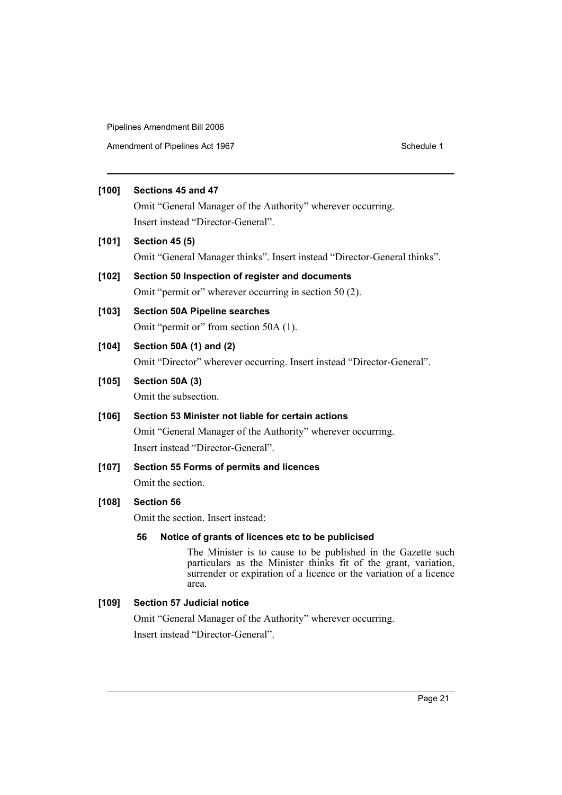Amendment of Pipelines Act 1967 Schedule 1

# **[100] Sections 45 and 47**

Omit "General Manager of the Authority" wherever occurring. Insert instead "Director-General".

**[101] Section 45 (5)**

Omit "General Manager thinks". Insert instead "Director-General thinks".

# **[102] Section 50 Inspection of register and documents**

Omit "permit or" wherever occurring in section 50 (2).

# **[103] Section 50A Pipeline searches**

Omit "permit or" from section 50A (1).

# **[104] Section 50A (1) and (2)**

Omit "Director" wherever occurring. Insert instead "Director-General".

# **[105] Section 50A (3)**

Omit the subsection.

# **[106] Section 53 Minister not liable for certain actions**

Omit "General Manager of the Authority" wherever occurring. Insert instead "Director-General".

# **[107] Section 55 Forms of permits and licences**

Omit the section.

# **[108] Section 56**

Omit the section. Insert instead:

# **56 Notice of grants of licences etc to be publicised**

The Minister is to cause to be published in the Gazette such particulars as the Minister thinks fit of the grant, variation, surrender or expiration of a licence or the variation of a licence area.

# **[109] Section 57 Judicial notice**

Omit "General Manager of the Authority" wherever occurring. Insert instead "Director-General".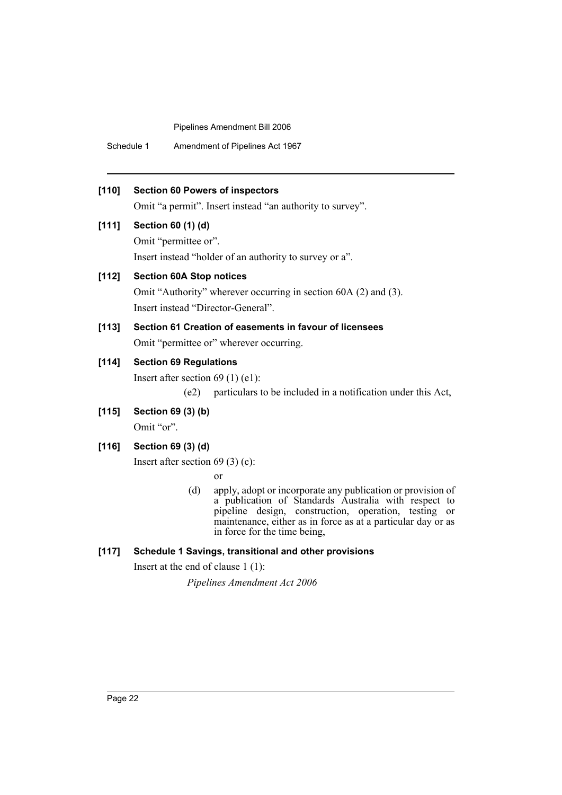Schedule 1 Amendment of Pipelines Act 1967

# **[110] Section 60 Powers of inspectors**

Omit "a permit". Insert instead "an authority to survey".

# **[111] Section 60 (1) (d)**

Omit "permittee or". Insert instead "holder of an authority to survey or a".

# **[112] Section 60A Stop notices**

Omit "Authority" wherever occurring in section 60A (2) and (3). Insert instead "Director-General".

# **[113] Section 61 Creation of easements in favour of licensees** Omit "permittee or" wherever occurring.

# **[114] Section 69 Regulations**

Insert after section 69 (1) (e1):

(e2) particulars to be included in a notification under this Act,

# **[115] Section 69 (3) (b)**

Omit "or".

# **[116] Section 69 (3) (d)**

Insert after section 69 (3) (c):

or

(d) apply, adopt or incorporate any publication or provision of a publication of Standards Australia with respect to pipeline design, construction, operation, testing or maintenance, either as in force as at a particular day or as in force for the time being,

# **[117] Schedule 1 Savings, transitional and other provisions**

Insert at the end of clause 1 (1):

*Pipelines Amendment Act 2006*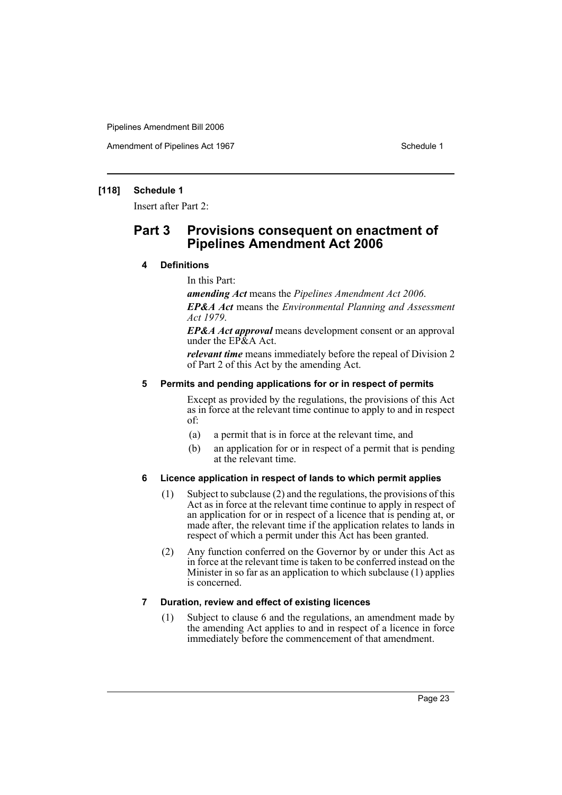Amendment of Pipelines Act 1967 Schedule 1

# **[118] Schedule 1**

Insert after Part 2:

# **Part 3 Provisions consequent on enactment of Pipelines Amendment Act 2006**

# **4 Definitions**

In this Part:

*amending Act* means the *Pipelines Amendment Act 2006*.

*EP&A Act* means the *Environmental Planning and Assessment Act 1979*.

*EP&A Act approval* means development consent or an approval under the EP&A Act.

*relevant time* means immediately before the repeal of Division 2 of Part 2 of this Act by the amending Act.

### **5 Permits and pending applications for or in respect of permits**

Except as provided by the regulations, the provisions of this Act as in force at the relevant time continue to apply to and in respect of:

- (a) a permit that is in force at the relevant time, and
- (b) an application for or in respect of a permit that is pending at the relevant time.

## **6 Licence application in respect of lands to which permit applies**

- (1) Subject to subclause (2) and the regulations, the provisions of this Act as in force at the relevant time continue to apply in respect of an application for or in respect of a licence that is pending at, or made after, the relevant time if the application relates to lands in respect of which a permit under this Act has been granted.
- (2) Any function conferred on the Governor by or under this Act as in force at the relevant time is taken to be conferred instead on the Minister in so far as an application to which subclause (1) applies is concerned.

### **7 Duration, review and effect of existing licences**

(1) Subject to clause 6 and the regulations, an amendment made by the amending Act applies to and in respect of a licence in force immediately before the commencement of that amendment.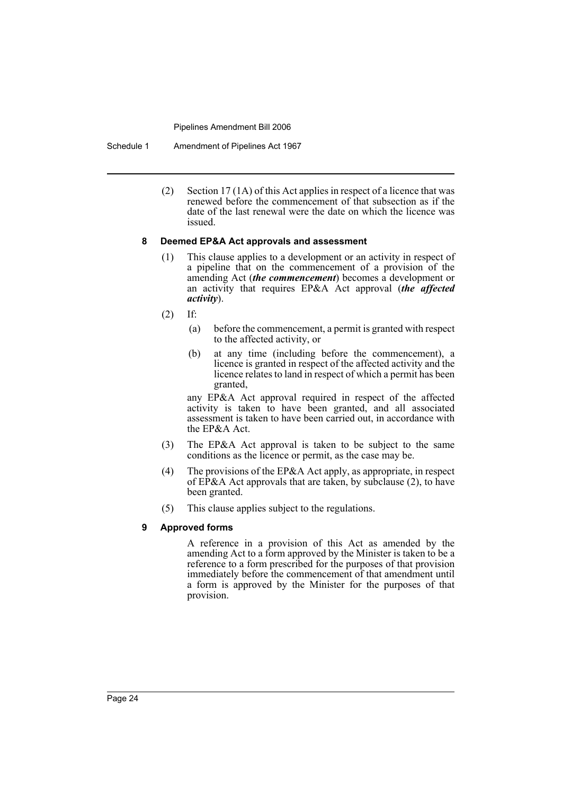Schedule 1 Amendment of Pipelines Act 1967

(2) Section 17 (1A) of this Act applies in respect of a licence that was renewed before the commencement of that subsection as if the date of the last renewal were the date on which the licence was issued.

# **8 Deemed EP&A Act approvals and assessment**

- (1) This clause applies to a development or an activity in respect of a pipeline that on the commencement of a provision of the amending Act (*the commencement*) becomes a development or an activity that requires EP&A Act approval (*the affected activity*).
- (2) If:
	- (a) before the commencement, a permit is granted with respect to the affected activity, or
	- (b) at any time (including before the commencement), a licence is granted in respect of the affected activity and the licence relates to land in respect of which a permit has been granted,

any EP&A Act approval required in respect of the affected activity is taken to have been granted, and all associated assessment is taken to have been carried out, in accordance with the EP&A Act.

- (3) The EP&A Act approval is taken to be subject to the same conditions as the licence or permit, as the case may be.
- (4) The provisions of the EP&A Act apply, as appropriate, in respect of EP&A Act approvals that are taken, by subclause (2), to have been granted.
- (5) This clause applies subject to the regulations.

# **9 Approved forms**

A reference in a provision of this Act as amended by the amending Act to a form approved by the Minister is taken to be a reference to a form prescribed for the purposes of that provision immediately before the commencement of that amendment until a form is approved by the Minister for the purposes of that provision.